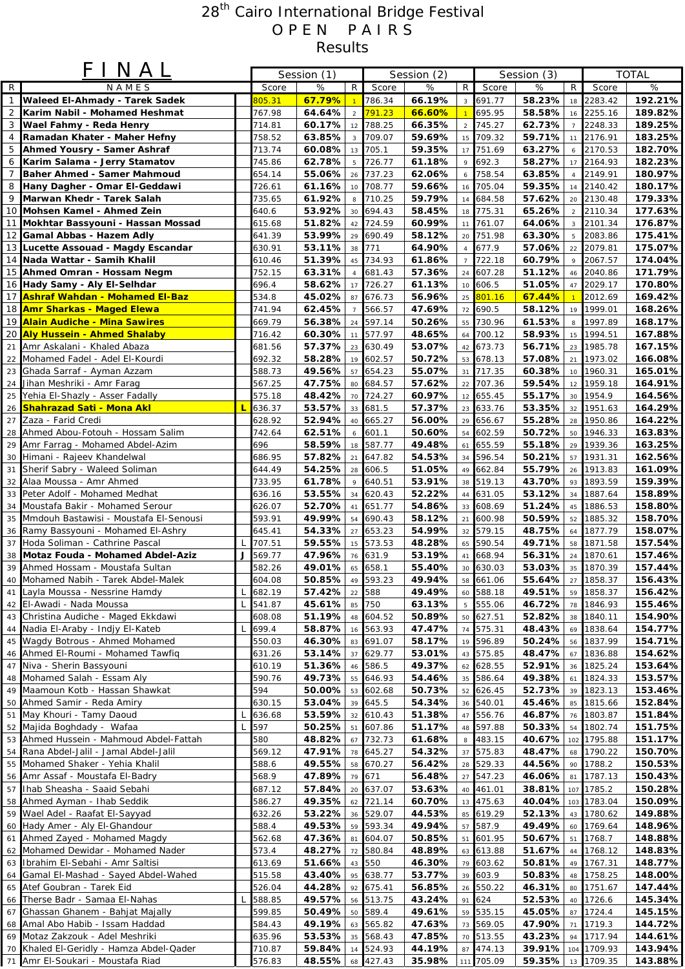## 28<sup>th</sup> Cairo International Bridge Festival O P E N P A I R S Results

|                 | FINAL                                                                      |   |                  | Session (1)      |                      | Session (2)      |                  |                |                        | Session (3)      |                  | <b>TOTAL</b>       |                    |
|-----------------|----------------------------------------------------------------------------|---|------------------|------------------|----------------------|------------------|------------------|----------------|------------------------|------------------|------------------|--------------------|--------------------|
| $\mathsf{R}$    | NAMES                                                                      |   | Score            | %                | R.                   | Score            | %                | $\overline{z}$ | Score                  | %                | $\overline{R}$   | Score              | %                  |
| $\mathbf{1}$    | <b>Waleed El-Ahmady - Tarek Sadek</b>                                      |   | 305.31           | 67.79%           |                      | 786.34           | 66.19%           |                | 3 691.77               | 58.23%           |                  | 18 2283.42         | 192.21%            |
| $\sqrt{2}$      | Karim Nabil - Mohamed Heshmat                                              |   | 767.98           | 64.64%           | $\overline{2}$       | 791.23           | 66.60%           |                | 695.95                 | 58.58%           |                  | 16 2255.16         | 189.82%            |
| 3               | Wael Fahmy - Reda Henry                                                    |   | 714.81           | 60.17%           | 12                   | 788.25           | 66.35%           |                | 2 745.27               | 62.73%           | $\overline{7}$   | 2248.33            | 189.25%            |
| 4               | Ramadan Khater - Maher Hefny                                               |   | 758.52           | 63.85%           | $\mathbf{3}$         | 709.07           | 59.69%           | 15             | 709.32                 | 59.71%           | 11               | 2176.91            | 183.25%            |
| 5               | Ahmed Yousry - Samer Ashraf                                                |   | 713.74           | 60.08%           | 13                   | 705.1            | 59.35%           |                | 17 751.69              | 63.27%           |                  | 6 2170.53          | 182.70%            |
| 6               | Karim Salama - Jerry Stamatov                                              |   | 745.86           | 62.78%           | 5                    | 726.77           | 61.18%           | 9              | 692.3                  | 58.27%           |                  | 17 2164.93         | 182.23%            |
| $\overline{7}$  | <b>Baher Ahmed - Samer Mahmoud</b>                                         |   | 654.14           | 55.06%           | 26                   | 737.23           | 62.06%           | 6              | 758.54                 | 63.85%           | $\overline{4}$   | 2149.91            | 180.97%            |
| 8               | Hany Dagher - Omar El-Geddawi                                              |   | 726.61           | 61.16%           | 10                   | 708.77           | 59.66%           | 16             | 705.04                 | 59.35%           |                  | 14 2140.42         | 180.17%            |
| 9               | Marwan Khedr - Tarek Salah                                                 |   | 735.65           | 61.92%           | 8                    | 710.25           | 59.79%           |                | 14 684.58              | 57.62%           |                  | 20 2130.48         | 179.33%            |
|                 | 10 Mohsen Kamel - Ahmed Zein                                               |   | 640.6            | 53.92%           | 30                   | 694.43           | 58.45%           |                | 18 775.31              | 65.26%           | $\overline{2}$   | 2110.34            | 177.63%            |
|                 | 11 Mokhtar Bassyouni - Hassan Mossad                                       |   | 615.68           | 51.82%           | 42                   | 724.59           | 60.99%           | 11             | 761.07                 | 64.06%           | 3                | 2101.34            | 176.87%            |
|                 | 12 Gamal Abbas - Hazem Adly                                                |   | 641.39           | 53.99%           | 29                   | 690.49           | 58.12%           |                | 20 751.98              | 63.30%           |                  | 5 2083.86          | 175.41%            |
|                 | 13 Lucette Assouad - Magdy Escandar                                        |   | 630.91           | 53.11%           | 38                   | 771              | 64.90%           |                | 677.9                  | 57.06%           |                  | 22 2079.81         | 175.07%            |
|                 | 14 Nada Wattar - Samih Khalil                                              |   | 610.46           | 51.39%           | 45                   | 734.93           | 61.86%           |                | 722.18                 | 60.79%           | 9                | 2067.57            | 174.04%            |
|                 | 15 Ahmed Omran - Hossam Negm                                               |   | 752.15           | 63.31%           | $\overline{4}$       | 681.43           | 57.36%           |                | 24 607.28              | 51.12%           |                  | 46 2040.86         | 171.79%            |
|                 | 16 Hady Samy - Aly El-Selhdar                                              |   | 696.4            | 58.62%           | 17                   | 726.27           | 61.13%           |                | 10 606.5               | 51.05%           |                  | 47 2029.17         | 170.80%            |
|                 | 17 Ashraf Wahdan - Mohamed El-Baz<br>18 Amr Sharkas - Maged Elewa          |   | 534.8            | 45.02%<br>62.45% | 87                   | 676.73           | 56.96%           | 25             | 801.16<br>72 690.5     | 67.44%<br>58.12% |                  | 2012.69            | 169.42%            |
|                 | 19 Alain Audiche - Mina Sawires                                            |   | 741.94<br>669.79 | 56.38%           | $\overline{7}$<br>24 | 566.57<br>597.14 | 47.69%<br>50.26% |                | 55 730.96              | 61.53%           | 19<br>$^{\rm 8}$ | 1999.01<br>1997.89 | 168.26%<br>168.17% |
| 20 <sub>1</sub> | <b>Aly Hussein - Ahmed Shalaby</b>                                         |   | 716.42           | 60.30%           | 11                   | 577.97           | 48.65%           | 64             | 700.12                 | 58.93%           | 15               | 1994.51            | 167.88%            |
| 21              | Amr Askalani - Khaled Abaza                                                |   | 681.56           | 57.37%           | 23                   | 630.49           | 53.07%           |                | 42 673.73              | 56.71%           | 23               | 1985.78            | 167.15%            |
| 22              | Mohamed Fadel - Adel El-Kourdi                                             |   | 692.32           | 58.28%           | 19                   | 602.57           | 50.72%           |                | 53 678.13              | 57.08%           | 21               | 1973.02            | 166.08%            |
| 23              | Ghada Sarraf - Ayman Azzam                                                 |   | 588.73           | 49.56%           | 57                   | 654.23           | 55.07%           |                | 31 717.35              | 60.38%           |                  | 10 1960.31         | 165.01%            |
| 24              | Jihan Meshriki - Amr Farag                                                 |   | 567.25           | 47.75%           | 80                   | 684.57           | 57.62%           |                | 22 707.36              | 59.54%           |                  | 12 1959.18         | 164.91%            |
| 25              | Yehia El-Shazly - Asser Fadally                                            |   | 575.18           | 48.42%           | 70                   | 724.27           | 60.97%           |                | 12 655.45              | 55.17%           | 30 <sup>1</sup>  | 1954.9             | 164.56%            |
| 26              | <b>Shahrazad Sati - Mona Akl</b>                                           | г | 636.37           | 53.57%           | 33                   | 681.5            | 57.37%           | 23             | 633.76                 | 53.35%           | 32               | 1951.63            | 164.29%            |
| 27              | Zaza - Farid Credi                                                         |   | 628.92           | 52.94%           | 40                   | 665.27           | 56.00%           |                | 29 656.67              | 55.28%           | 28               | 1950.86            | 164.22%            |
|                 | 28 Ahmed Abou-Fotouh - Hossam Salim                                        |   | 742.64           | 62.51%           | 6                    | 601.1            | 50.60%           | 54             | 602.59                 | 50.72%           | 50               | 1946.33            | 163.83%            |
| 29              | Amr Farrag - Mohamed Abdel-Azim                                            |   | 696              | 58.59%           | 18                   | 587.77           | 49.48%           |                | 61 655.59              | 55.18%           | 29               | 1939.36            | 163.25%            |
| 30              | Himani - Rajeev Khandelwal                                                 |   | 686.95           | 57.82%           | 21                   | 647.82           | 54.53%           | 34             | 596.54                 | 50.21%           | 57               | 1931.31            | 162.56%            |
| 31              | Sherif Sabry - Waleed Soliman                                              |   | 644.49           | 54.25%           | 28                   | 606.5            | 51.05%           |                | 49 662.84              | 55.79%           | 26               | 1913.83            | 161.09%            |
|                 | 32 Alaa Moussa - Amr Ahmed                                                 |   | 733.95           | 61.78%           | 9                    | 640.51           | 53.91%           |                | 38 519.13              | 43.70%           |                  | 93 1893.59         | 159.39%            |
| 33              | Peter Adolf - Mohamed Medhat                                               |   | 636.16           | 53.55%           | 34                   | 620.43           | 52.22%           |                | 44 631.05              | 53.12%           |                  | 34 1887.64         | 158.89%            |
| 34              | Moustafa Bakir - Mohamed Serour                                            |   | 626.07           | 52.70%           | 41                   | 651.77           | 54.86%           |                | 33 608.69              | 51.24%           | 45               | 1886.53            | 158.80%            |
| 35              | Mmdouh Bastawisi - Moustafa El-Senousi                                     |   | 593.91           | 49.99%           | 54                   | 690.43           | 58.12%           | 21             | 600.98                 | 50.59%           | 52               | 1885.32            | 158.70%            |
|                 | 36 Ramy Bassyouni - Mohamed El-Ashry                                       |   | 645.41           | 54.33%           | 27                   | 653.23           | 54.99%           |                | 32 579.15              | 48.75%           | 64               | 1877.79            | 158.07%            |
| 37              | Hoda Soliman - Cathrine Pascal                                             | L | 707.51           | 59.55%           | 15                   | 573.53           | 48.28%           | 65             | 590.54                 | 49.71%           | 58               | 1871.58            | 157.54%            |
|                 | 38 Motaz Fouda - Mohamed Abdel-Aziz                                        | J | 569.77           | 47.96%           | 76                   | 631.9            | 53.19%           | 41             | 668.94                 | 56.31%           | 24               | 1870.61            | 157.46%            |
| 39              | Ahmed Hossam - Moustafa Sultan                                             |   | 582.26           | 49.01%           | 65                   | 658.1            | 55.40%           |                | 30 630.03              | 53.03%           |                  | 35 1870.39         | 157.44%            |
|                 | 40 Mohamed Nabih - Tarek Abdel-Malek                                       |   | 604.08           | 50.85%           |                      | 49 593.23        | 49.94%           |                | 58 661.06              | 55.64%           | 27               | 1858.37            | 156.43%            |
| 41              | Layla Moussa - Nessrine Hamdy                                              | L | 682.19           | 57.42%           | 22                   | 588              | 49.49%           |                | 60 588.18              | 49.51%           | 59               | 1858.37            | 156.42%            |
|                 | 42 El-Awadi - Nada Moussa                                                  | L | 541.87           | 45.61%           | 85                   | 750              | 63.13%           |                | 5 555.06               | 46.72%           |                  | 78 1846.93         | 155.46%<br>154.90% |
|                 | 43 Christina Audiche - Maged Ekkdawi<br>44 Nadia El-Araby - Indjy El-Kateb | L | 608.08<br>699.4  | 51.19%<br>58.87% | 48                   | 604.52<br>563.93 | 50.89%<br>47.47% |                | 50 627.51<br>74 575.31 | 52.82%<br>48.43% | 38               | 1840.11<br>1838.64 | 154.77%            |
|                 | 45 Wagdy Botrous - Ahmed Mohamed                                           |   | 550.03           | 46.30%           | 16<br>83             | 691.07           | 58.17%           |                | 596.89                 | 50.24%           | 69<br>56         | 1837.99            | 154.71%            |
|                 | 46 Ahmed El-Roumi - Mohamed Tawfig                                         |   | 631.26           | 53.14%           | 37                   | 629.77           | 53.01%           | 19             | 43 575.85              | 48.47%           |                  | 67 1836.88         | 154.62%            |
| 47              | Niva - Sherin Bassyouni                                                    |   | 610.19           | 51.36%           | 46                   | 586.5            | 49.37%           |                | 62 628.55              | 52.91%           | 36               | 1825.24            | 153.64%            |
| 48              | Mohamed Salah - Essam Aly                                                  |   | 590.76           | 49.73%           | 55                   | 646.93           | 54.46%           |                | 35 586.64              | 49.38%           | 61               | 1824.33            | 153.57%            |
|                 | 49 Maamoun Kotb - Hassan Shawkat                                           |   | 594              | 50.00%           | 53                   | 602.68           | 50.73%           | 52             | 626.45                 | 52.73%           | 39               | 1823.13            | 153.46%            |
|                 | 50 Ahmed Samir - Reda Amiry                                                |   | 630.15           | 53.04%           | 39                   | 645.5            | 54.34%           |                | 36 540.01              | 45.46%           |                  | 85 1815.66         | 152.84%            |
| 51              | May Khouri - Tamy Daoud                                                    | L | 636.68           | 53.59%           | 32                   | 610.43           | 51.38%           |                | 47 556.76              | 46.87%           | 76               | 1803.87            | 151.84%            |
| 52              | Majida Boghdady - Wafaa                                                    |   | 597              | 50.25%           | 51                   | 607.86           | 51.17%           |                | 48 597.88              | 50.33%           | 54               | 1802.74            | 151.75%            |
| 53              | Ahmed Hussein - Mahmoud Abdel-Fattah                                       |   | 580              | 48.82%           | 67                   | 732.73           | 61.68%           | 8              | 483.15                 | 40.67%           |                  | 102 1795.88        | 151.17%            |
|                 | 54 Rana Abdel-Jalil - Jamal Abdel-Jalil                                    |   | 569.12           | 47.91%           | 78                   | 645.27           | 54.32%           |                | 37 575.83              | 48.47%           |                  | 68 1790.22         | 150.70%            |
| 55              | Mohamed Shaker - Yehia Khalil                                              |   | 588.6            | 49.55%           | 58                   | 670.27           | 56.42%           |                | 28 529.33              | 44.56%           |                  | 90 1788.2          | 150.53%            |
|                 | 56 Amr Assaf - Moustafa El-Badry                                           |   | 568.9            | 47.89%           | 79                   | 671              | 56.48%           |                | 27 547.23              | 46.06%           |                  | 81 1787.13         | 150.43%            |
| 57              | Ihab Sheasha - Saaid Sebahi                                                |   | 687.12           | 57.84%           | 20                   | 637.07           | 53.63%           |                | 40 461.01              | 38.81%           |                  | 107 1785.2         | 150.28%            |
|                 | 58 Ahmed Ayman - Ihab Seddik                                               |   | 586.27           | 49.35%           | 62                   | 721.14           | 60.70%           |                | 13 475.63              | 40.04%           |                  | 103 1783.04        | 150.09%            |
|                 | 59 Wael Adel - Raafat El-Sayyad                                            |   | 632.26           | 53.22%           | 36                   | 529.07           | 44.53%           |                | 85 619.29              | 52.13%           | 43               | 1780.62            | 149.88%            |
|                 | 60 Hady Amer - Aly El-Ghandour                                             |   | 588.4            | 49.53%           | 59                   | 593.34           | 49.94%           |                | 57 587.9               | 49.49%           | 60               | 1769.64            | 148.96%            |
| 61              | Ahmed Zayed - Mohamed Magdy                                                |   | 562.68           | 47.36%           | 81                   | 604.07           | 50.85%           |                | 51 601.95              | 50.67%           | 51               | 1768.7             | 148.88%            |
|                 | 62 Mohamed Dewidar - Mohamed Nader                                         |   | 573.4            | 48.27%           | 72                   | 580.84           | 48.89%           |                | 63 613.88              | 51.67%           | 44               | 1768.12            | 148.83%            |
|                 | 63 Ibrahim El-Sebahi - Amr Saltisi                                         |   | 613.69           | 51.66%           | 43                   | 550              | 46.30%           |                | 79 603.62              | 50.81%           | 49               | 1767.31            | 148.77%            |
|                 | 64 Gamal El-Mashad - Sayed Abdel-Wahed                                     |   | 515.58           | 43.40%           | 95                   | 638.77           | 53.77%           |                | 39 603.9               | 50.83%           | 48               | 1758.25            | 148.00%            |
|                 | 65 Atef Goubran - Tarek Eid<br>Therse Badr - Samaa El-Nahas                | L | 526.04           | 44.28%<br>49.57% | 92                   | 675.41           | 56.85%           |                | 26 550.22<br>91 624    | 46.31%           |                  | 80 1751.67         | 147.44%<br>145.34% |
| 66              | Ghassan Ghanem - Bahjat Majally                                            |   | 588.85<br>599.85 | 50.49%           | 56                   | 513.75<br>589.4  | 43.24%<br>49.61% |                | 59 535.15              | 52.53%<br>45.05% | 40               | 1726.6<br>1724.4   | 145.15%            |
| 67              | 68 Amal Abo Habib - Issam Haddad                                           |   | 584.43           | 49.19%           | 50<br>63             | 565.82           | 47.63%           |                | 73 569.05              | 47.90%           | 87<br>71         | 1719.3             | 144.72%            |
|                 | 69 Motaz Zakzouk - Adel Meshriki                                           |   | 635.96           | 53.53%           | 35                   | 568.43           | 47.85%           |                | 70 513.55              | 43.23%           | 94               | 1717.94            | 144.61%            |
|                 | 70 Khaled El-Geridly - Hamza Abdel-Qader                                   |   | 710.87           | 59.84%           | 14                   | 524.93           | 44.19%           |                | 87 474.13              | 39.91%           |                  | 104 1709.93        | 143.94%            |
|                 | 71 Amr El-Soukari - Moustafa Riad                                          |   | 576.83           | 48.55%           | 68                   | 427.43           | 35.98%           |                | 111 705.09             | 59.35%           |                  | 13 1709.35         | 143.88%            |
|                 |                                                                            |   |                  |                  |                      |                  |                  |                |                        |                  |                  |                    |                    |